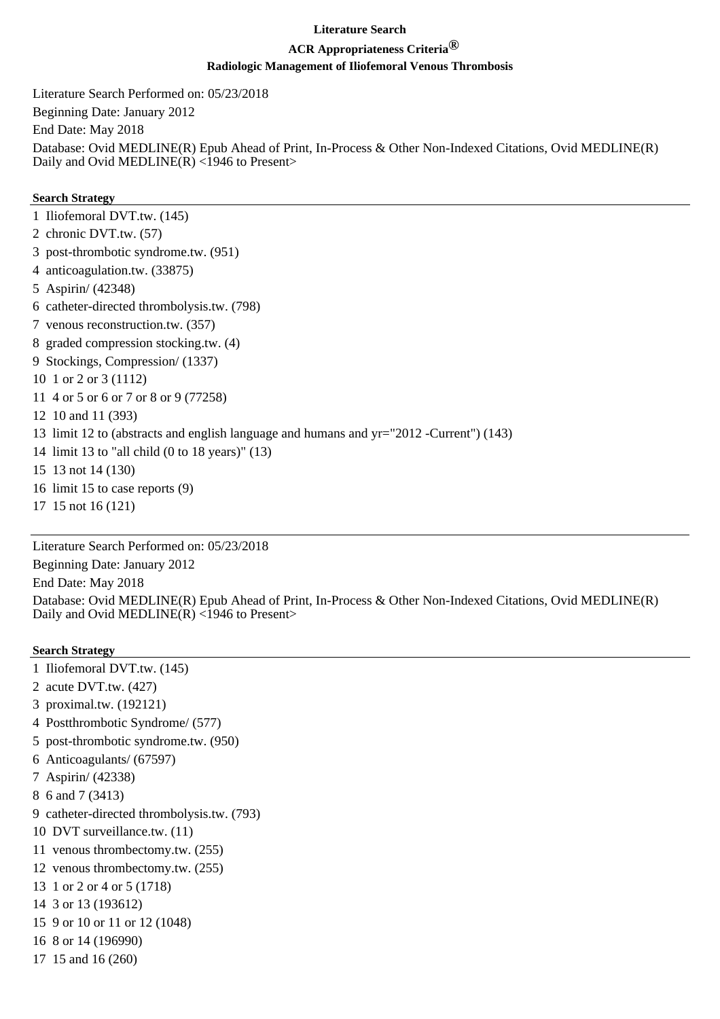# **ACR Appropriateness Criteria®**

### **Radiologic Management of Iliofemoral Venous Thrombosis**

Literature Search Performed on: 05/23/2018

Beginning Date: January 2012

End Date: May 2018

Database: Ovid MEDLINE(R) Epub Ahead of Print, In-Process & Other Non-Indexed Citations, Ovid MEDLINE(R) Daily and Ovid MEDLINE $(R)$  <1946 to Present>

#### **Search Strategy**

- 1 Iliofemoral DVT.tw. (145)
- 2 chronic DVT.tw. (57)
- 3 post-thrombotic syndrome.tw. (951)
- 4 anticoagulation.tw. (33875)
- 5 Aspirin/ (42348)
- 6 catheter-directed thrombolysis.tw. (798)
- 7 venous reconstruction.tw. (357)
- 8 graded compression stocking.tw. (4)
- 9 Stockings, Compression/ (1337)
- 10 1 or 2 or 3 (1112)
- 11 4 or 5 or 6 or 7 or 8 or 9 (77258)
- 12 10 and 11 (393)
- 13 limit 12 to (abstracts and english language and humans and yr="2012 -Current") (143)
- 14 limit 13 to "all child (0 to 18 years)" (13)
- 15 13 not 14 (130)
- 16 limit 15 to case reports (9)
- 17 15 not 16 (121)

Literature Search Performed on: 05/23/2018 Beginning Date: January 2012 End Date: May 2018 Database: Ovid MEDLINE(R) Epub Ahead of Print, In-Process & Other Non-Indexed Citations, Ovid MEDLINE(R) Daily and Ovid MEDLINE(R)  $\langle$ 1946 to Present>

- 1 Iliofemoral DVT.tw. (145)
- 2 acute DVT.tw. (427)
- 3 proximal.tw. (192121)
- 4 Postthrombotic Syndrome/ (577)
- 5 post-thrombotic syndrome.tw. (950)
- 6 Anticoagulants/ (67597)
- 7 Aspirin/ (42338)
- 8 6 and 7 (3413)
- 9 catheter-directed thrombolysis.tw. (793)
- 10 DVT surveillance.tw. (11)
- 11 venous thrombectomy.tw. (255)
- 12 venous thrombectomy.tw. (255)
- 13 1 or 2 or 4 or 5 (1718)
- 14 3 or 13 (193612)
- 15 9 or 10 or 11 or 12 (1048)
- 16 8 or 14 (196990)
- 17 15 and 16 (260)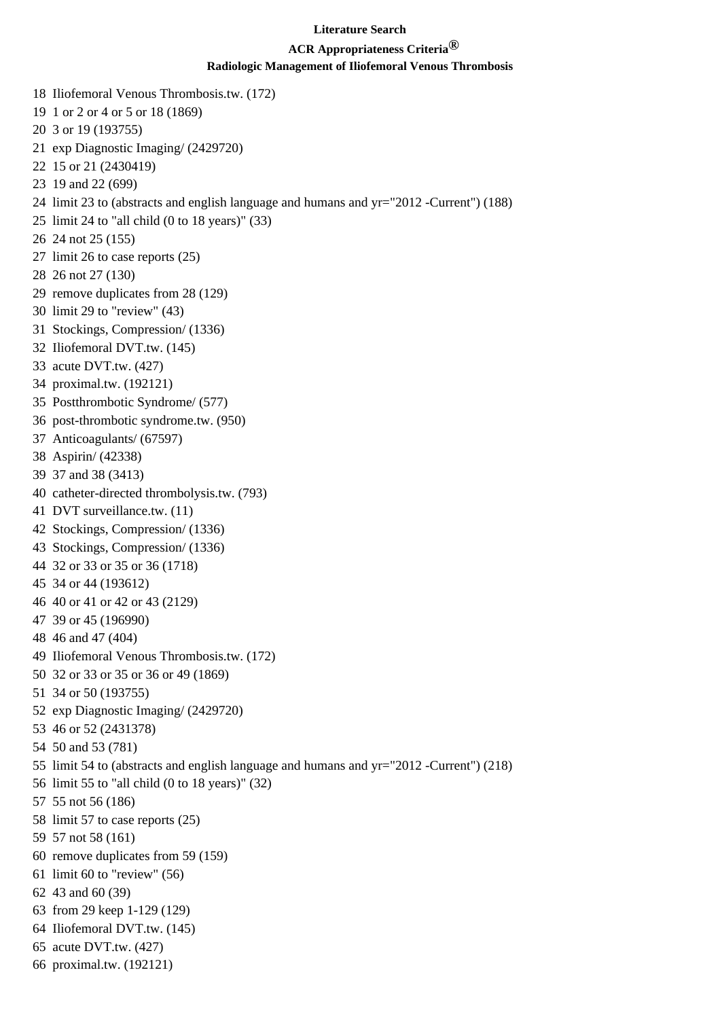# **ACR Appropriateness Criteria®**

- 18 Iliofemoral Venous Thrombosis.tw. (172) 19 1 or 2 or 4 or 5 or 18 (1869) 20 3 or 19 (193755) 21 exp Diagnostic Imaging/ (2429720)
- 22 15 or 21 (2430419)
- 23 19 and 22 (699)
- 24 limit 23 to (abstracts and english language and humans and yr="2012 -Current") (188)
- 25 limit 24 to "all child (0 to 18 years)" (33)
- 26 24 not 25 (155)
- 27 limit 26 to case reports (25)
- 28 26 not 27 (130)
- 29 remove duplicates from 28 (129)
- 30 limit 29 to "review" (43)
- 31 Stockings, Compression/ (1336)
- 32 Iliofemoral DVT.tw. (145)
- 33 acute DVT.tw. (427)
- 34 proximal.tw. (192121)
- 35 Postthrombotic Syndrome/ (577)
- 36 post-thrombotic syndrome.tw. (950)
- 37 Anticoagulants/ (67597)
- 38 Aspirin/ (42338)
- 39 37 and 38 (3413)
- 40 catheter-directed thrombolysis.tw. (793)
- 41 DVT surveillance.tw. (11)
- 42 Stockings, Compression/ (1336)
- 43 Stockings, Compression/ (1336)
- 44 32 or 33 or 35 or 36 (1718)
- 45 34 or 44 (193612)
- 46 40 or 41 or 42 or 43 (2129)
- 47 39 or 45 (196990)
- 48 46 and 47 (404)
- 49 Iliofemoral Venous Thrombosis.tw. (172)
- 50 32 or 33 or 35 or 36 or 49 (1869)
- 51 34 or 50 (193755)
- 52 exp Diagnostic Imaging/ (2429720)
- 53 46 or 52 (2431378)
- 54 50 and 53 (781)
- 55 limit 54 to (abstracts and english language and humans and yr="2012 -Current") (218)
- 56 limit 55 to "all child (0 to 18 years)" (32)
- 57 55 not 56 (186)
- 58 limit 57 to case reports (25)
- 59 57 not 58 (161)
- 60 remove duplicates from 59 (159)
- 61 limit 60 to "review" (56)
- 62 43 and 60 (39)
- 63 from 29 keep 1-129 (129)
- 64 Iliofemoral DVT.tw. (145)
- 65 acute DVT.tw. (427)
- 66 proximal.tw. (192121)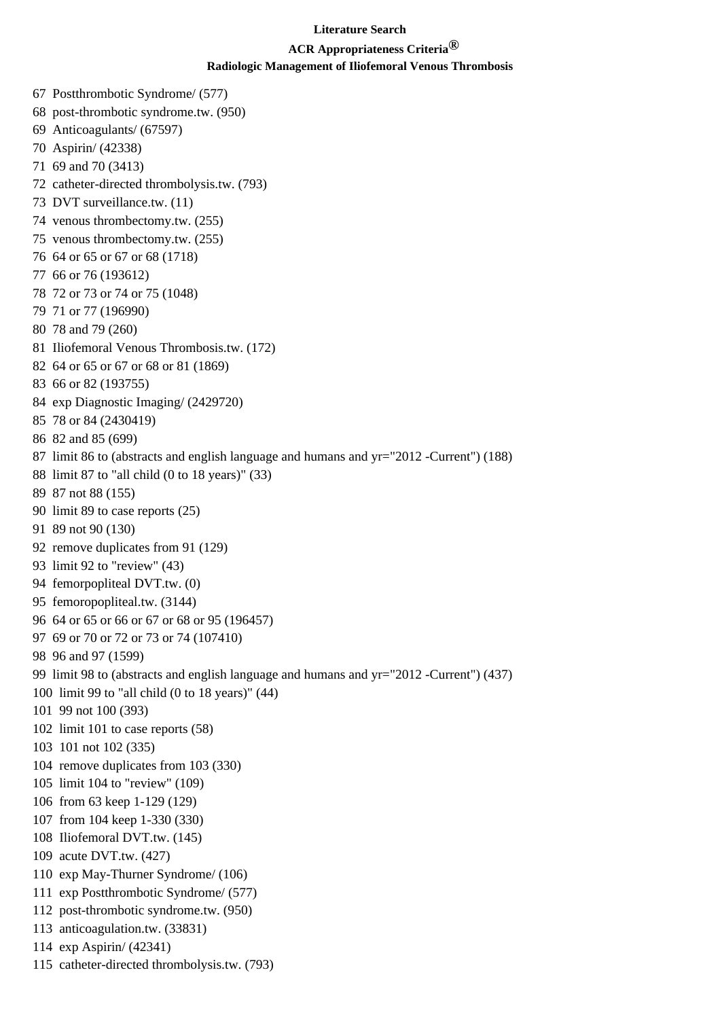# **ACR Appropriateness Criteria®**

### **Radiologic Management of Iliofemoral Venous Thrombosis**

67 Postthrombotic Syndrome/ (577) 68 post-thrombotic syndrome.tw. (950) 69 Anticoagulants/ (67597) 70 Aspirin/ (42338) 71 69 and 70 (3413) 72 catheter-directed thrombolysis.tw. (793) 73 DVT surveillance.tw. (11) 74 venous thrombectomy.tw. (255) 75 venous thrombectomy.tw. (255) 76 64 or 65 or 67 or 68 (1718) 77 66 or 76 (193612) 78 72 or 73 or 74 or 75 (1048) 79 71 or 77 (196990) 80 78 and 79 (260) 81 Iliofemoral Venous Thrombosis.tw. (172) 82 64 or 65 or 67 or 68 or 81 (1869) 83 66 or 82 (193755) 84 exp Diagnostic Imaging/ (2429720) 85 78 or 84 (2430419) 86 82 and 85 (699) 87 limit 86 to (abstracts and english language and humans and yr="2012 -Current") (188) 88 limit 87 to "all child (0 to 18 years)" (33) 89 87 not 88 (155) 90 limit 89 to case reports (25) 91 89 not 90 (130) 92 remove duplicates from 91 (129) 93 limit 92 to "review" (43) 94 femorpopliteal DVT.tw. (0) 95 femoropopliteal.tw. (3144) 96 64 or 65 or 66 or 67 or 68 or 95 (196457) 97 69 or 70 or 72 or 73 or 74 (107410) 98 96 and 97 (1599) 99 limit 98 to (abstracts and english language and humans and yr="2012 -Current") (437) 100 limit 99 to "all child (0 to 18 years)" (44) 101 99 not 100 (393) 102 limit 101 to case reports (58) 103 101 not 102 (335) 104 remove duplicates from 103 (330) 105 limit 104 to "review" (109) 106 from 63 keep 1-129 (129) 107 from 104 keep 1-330 (330) 108 Iliofemoral DVT.tw. (145) 109 acute DVT.tw. (427) 110 exp May-Thurner Syndrome/ (106) 111 exp Postthrombotic Syndrome/ (577) 112 post-thrombotic syndrome.tw. (950) 113 anticoagulation.tw. (33831)

- 114 exp Aspirin/ (42341)
- 115 catheter-directed thrombolysis.tw. (793)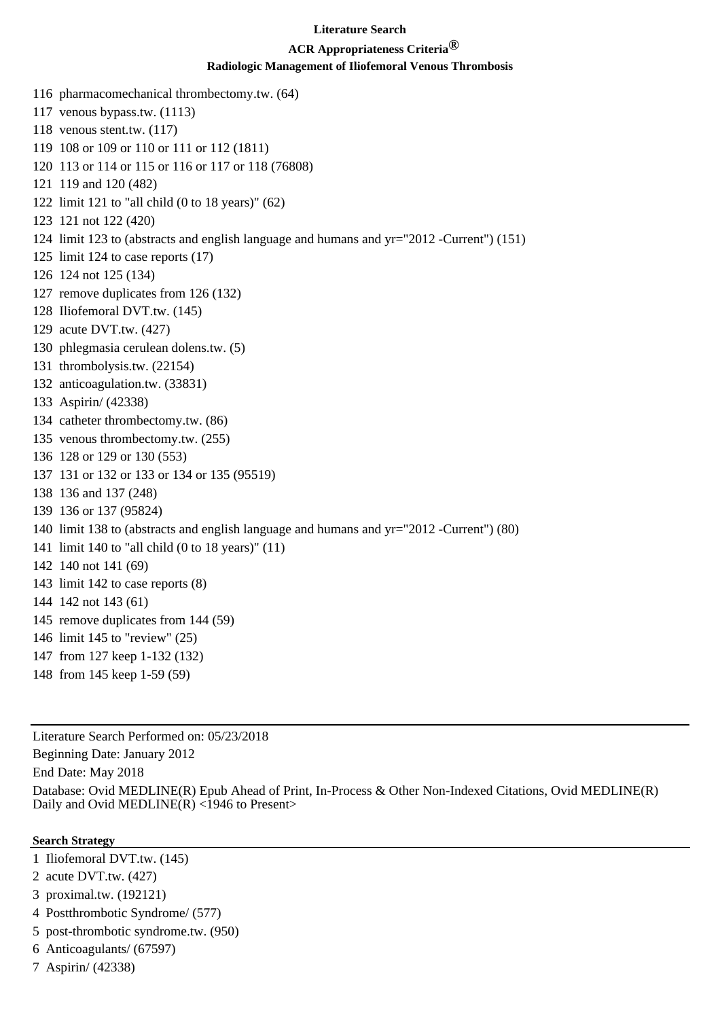# **ACR Appropriateness Criteria®**

#### **Radiologic Management of Iliofemoral Venous Thrombosis**

- 116 pharmacomechanical thrombectomy.tw. (64)
- 117 venous bypass.tw. (1113)
- 118 venous stent.tw. (117)
- 119 108 or 109 or 110 or 111 or 112 (1811)
- 120 113 or 114 or 115 or 116 or 117 or 118 (76808)
- 121 119 and 120 (482)
- 122 limit 121 to "all child (0 to 18 years)" (62)
- 123 121 not 122 (420)
- 124 limit 123 to (abstracts and english language and humans and yr="2012 -Current") (151)
- 125 limit 124 to case reports (17)
- 126 124 not 125 (134)
- 127 remove duplicates from 126 (132)
- 128 Iliofemoral DVT.tw. (145)
- 129 acute DVT.tw. (427)
- 130 phlegmasia cerulean dolens.tw. (5)
- 131 thrombolysis.tw. (22154)
- 132 anticoagulation.tw. (33831)
- 133 Aspirin/ (42338)
- 134 catheter thrombectomy.tw. (86)
- 135 venous thrombectomy.tw. (255)
- 136 128 or 129 or 130 (553)
- 137 131 or 132 or 133 or 134 or 135 (95519)
- 138 136 and 137 (248)
- 139 136 or 137 (95824)
- 140 limit 138 to (abstracts and english language and humans and yr="2012 -Current") (80)
- 141 limit 140 to "all child (0 to 18 years)" (11)
- 142 140 not 141 (69)
- 143 limit 142 to case reports (8)
- 144 142 not 143 (61)
- 145 remove duplicates from 144 (59)
- 146 limit 145 to "review" (25)
- 147 from 127 keep 1-132 (132)
- 148 from 145 keep 1-59 (59)

Literature Search Performed on: 05/23/2018

Beginning Date: January 2012

End Date: May 2018

Database: Ovid MEDLINE(R) Epub Ahead of Print, In-Process & Other Non-Indexed Citations, Ovid MEDLINE(R) Daily and Ovid MEDLINE(R) <1946 to Present>

- 1 Iliofemoral DVT.tw. (145)
- 2 acute DVT.tw. (427)
- 3 proximal.tw. (192121)
- 4 Postthrombotic Syndrome/ (577)
- 5 post-thrombotic syndrome.tw. (950)
- 6 Anticoagulants/ (67597)
- 7 Aspirin/ (42338)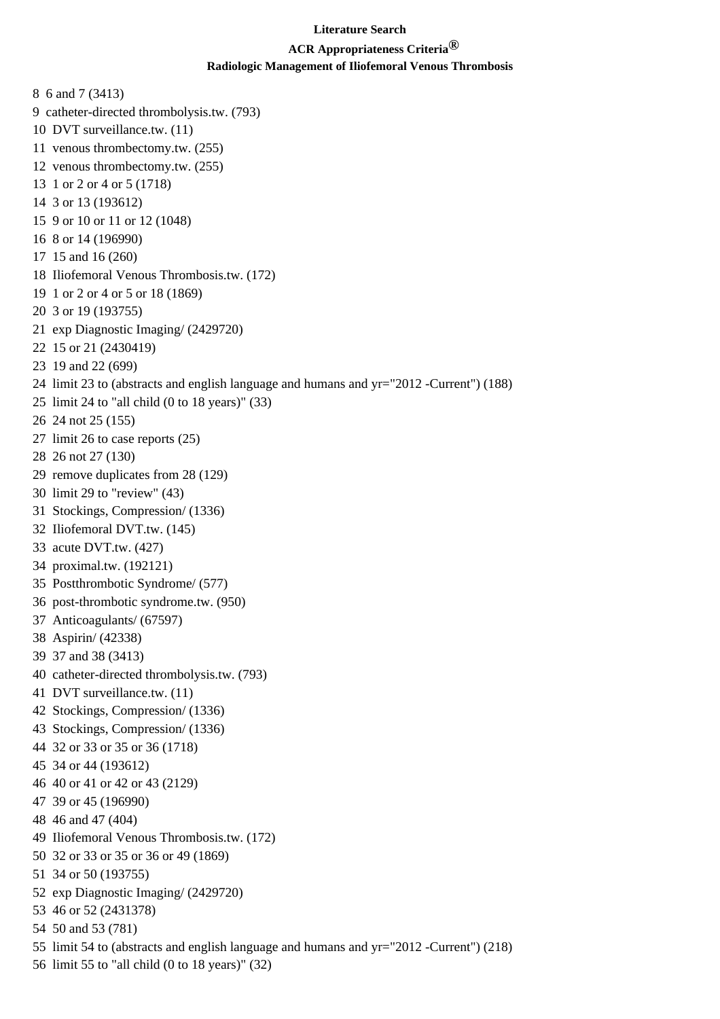# **ACR Appropriateness Criteria®**

- 8 6 and 7 (3413)
- 9 catheter-directed thrombolysis.tw. (793)
- 10 DVT surveillance.tw. (11)
- 11 venous thrombectomy.tw. (255)
- 12 venous thrombectomy.tw. (255)
- 13 1 or 2 or 4 or 5 (1718)
- 14 3 or 13 (193612)
- 15 9 or 10 or 11 or 12 (1048)
- 16 8 or 14 (196990)
- 17 15 and 16 (260)
- 18 Iliofemoral Venous Thrombosis.tw. (172)
- 19 1 or 2 or 4 or 5 or 18 (1869)
- 20 3 or 19 (193755)
- 21 exp Diagnostic Imaging/ (2429720)
- 22 15 or 21 (2430419)
- 23 19 and 22 (699)
- 24 limit 23 to (abstracts and english language and humans and yr="2012 -Current") (188)
- 25 limit 24 to "all child (0 to 18 years)" (33)
- 26 24 not 25 (155)
- 27 limit 26 to case reports (25)
- 28 26 not 27 (130)
- 29 remove duplicates from 28 (129)
- 30 limit 29 to "review" (43)
- 31 Stockings, Compression/ (1336)
- 32 Iliofemoral DVT.tw. (145)
- 33 acute DVT.tw. (427)
- 34 proximal.tw. (192121)
- 35 Postthrombotic Syndrome/ (577)
- 36 post-thrombotic syndrome.tw. (950)
- 37 Anticoagulants/ (67597)
- 38 Aspirin/ (42338)
- 39 37 and 38 (3413)
- 40 catheter-directed thrombolysis.tw. (793)
- 41 DVT surveillance.tw. (11)
- 42 Stockings, Compression/ (1336)
- 43 Stockings, Compression/ (1336)
- 44 32 or 33 or 35 or 36 (1718)
- 45 34 or 44 (193612)
- 46 40 or 41 or 42 or 43 (2129)
- 47 39 or 45 (196990)
- 48 46 and 47 (404)
- 49 Iliofemoral Venous Thrombosis.tw. (172)
- 50 32 or 33 or 35 or 36 or 49 (1869)
- 51 34 or 50 (193755)
- 52 exp Diagnostic Imaging/ (2429720)
- 53 46 or 52 (2431378)
- 54 50 and 53 (781)
- 55 limit 54 to (abstracts and english language and humans and yr="2012 -Current") (218)
- 56 limit 55 to "all child (0 to 18 years)" (32)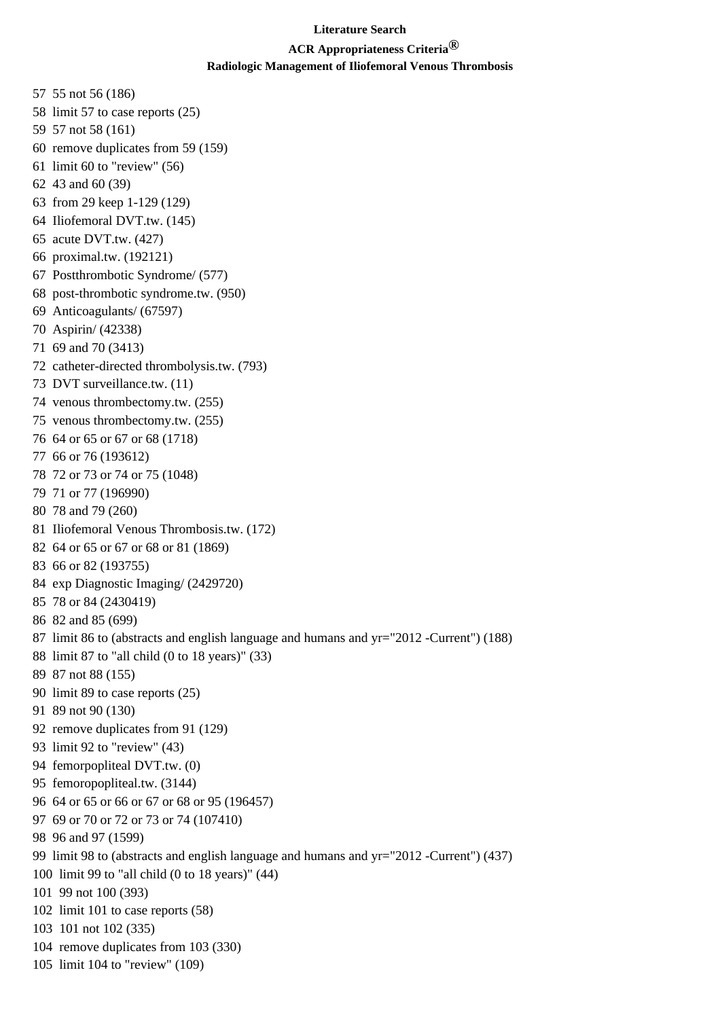### **ACR Appropriateness Criteria®**

- 57 55 not 56 (186)
- 58 limit 57 to case reports (25)
- 59 57 not 58 (161)
- 60 remove duplicates from 59 (159)
- 61 limit 60 to "review" (56)
- 62 43 and 60 (39)
- 63 from 29 keep 1-129 (129)
- 64 Iliofemoral DVT.tw. (145)
- 65 acute DVT.tw. (427)
- 66 proximal.tw. (192121)
- 67 Postthrombotic Syndrome/ (577)
- 68 post-thrombotic syndrome.tw. (950)
- 69 Anticoagulants/ (67597)
- 70 Aspirin/ (42338)
- 71 69 and 70 (3413)
- 72 catheter-directed thrombolysis.tw. (793)
- 73 DVT surveillance.tw. (11)
- 74 venous thrombectomy.tw. (255)
- 75 venous thrombectomy.tw. (255)
- 76 64 or 65 or 67 or 68 (1718)
- 77 66 or 76 (193612)
- 78 72 or 73 or 74 or 75 (1048)
- 79 71 or 77 (196990)
- 80 78 and 79 (260)
- 81 Iliofemoral Venous Thrombosis.tw. (172)
- 82 64 or 65 or 67 or 68 or 81 (1869)
- 83 66 or 82 (193755)
- 84 exp Diagnostic Imaging/ (2429720)
- 85 78 or 84 (2430419)
- 86 82 and 85 (699)
- 87 limit 86 to (abstracts and english language and humans and yr="2012 -Current") (188)
- 88 limit 87 to "all child (0 to 18 years)" (33)
- 89 87 not 88 (155)
- 90 limit 89 to case reports (25)
- 91 89 not 90 (130)
- 92 remove duplicates from 91 (129)
- 93 limit 92 to "review" (43)
- 94 femorpopliteal DVT.tw. (0)
- 95 femoropopliteal.tw. (3144)
- 96 64 or 65 or 66 or 67 or 68 or 95 (196457)
- 97 69 or 70 or 72 or 73 or 74 (107410)
- 98 96 and 97 (1599)
- 99 limit 98 to (abstracts and english language and humans and yr="2012 -Current") (437)
- 100 limit 99 to "all child (0 to 18 years)" (44)
- 101 99 not 100 (393)
- 102 limit 101 to case reports (58)
- 103 101 not 102 (335)
- 104 remove duplicates from 103 (330)
- 105 limit 104 to "review" (109)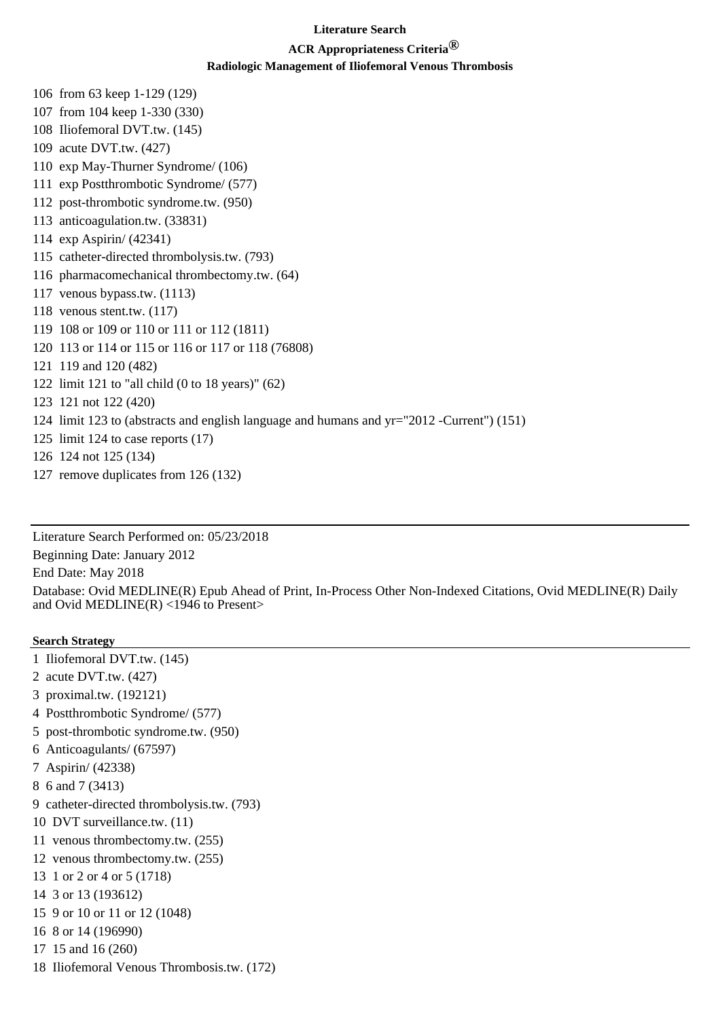## **ACR Appropriateness Criteria®**

### **Radiologic Management of Iliofemoral Venous Thrombosis**

106 from 63 keep 1-129 (129)

- 107 from 104 keep 1-330 (330)
- 108 Iliofemoral DVT.tw. (145)
- 109 acute DVT.tw. (427)
- 110 exp May-Thurner Syndrome/ (106)
- 111 exp Postthrombotic Syndrome/ (577)
- 112 post-thrombotic syndrome.tw. (950)
- 113 anticoagulation.tw. (33831)
- 114 exp Aspirin/ (42341)
- 115 catheter-directed thrombolysis.tw. (793)
- 116 pharmacomechanical thrombectomy.tw. (64)
- 117 venous bypass.tw. (1113)
- 118 venous stent.tw. (117)
- 119 108 or 109 or 110 or 111 or 112 (1811)
- 120 113 or 114 or 115 or 116 or 117 or 118 (76808)
- 121 119 and 120 (482)
- 122 limit 121 to "all child (0 to 18 years)" (62)
- 123 121 not 122 (420)
- 124 limit 123 to (abstracts and english language and humans and yr="2012 -Current") (151)
- 125 limit 124 to case reports (17)
- 126 124 not 125 (134)
- 127 remove duplicates from 126 (132)

Literature Search Performed on: 05/23/2018 Beginning Date: January 2012

End Date: May 2018

Database: Ovid MEDLINE(R) Epub Ahead of Print, In-Process Other Non-Indexed Citations, Ovid MEDLINE(R) Daily and Ovid MEDLINE(R) <1946 to Present>

- 1 Iliofemoral DVT.tw. (145)
- 2 acute DVT.tw. (427)
- 3 proximal.tw. (192121)
- 4 Postthrombotic Syndrome/ (577)
- 5 post-thrombotic syndrome.tw. (950)
- 6 Anticoagulants/ (67597)
- 7 Aspirin/ (42338)
- 8 6 and 7 (3413)
- 9 catheter-directed thrombolysis.tw. (793)
- 10 DVT surveillance.tw. (11)
- 11 venous thrombectomy.tw. (255)
- 12 venous thrombectomy.tw. (255)
- 13 1 or 2 or 4 or 5 (1718)
- 14 3 or 13 (193612)
- 15 9 or 10 or 11 or 12 (1048)
- 16 8 or 14 (196990)
- 17 15 and 16 (260)
- 18 Iliofemoral Venous Thrombosis.tw. (172)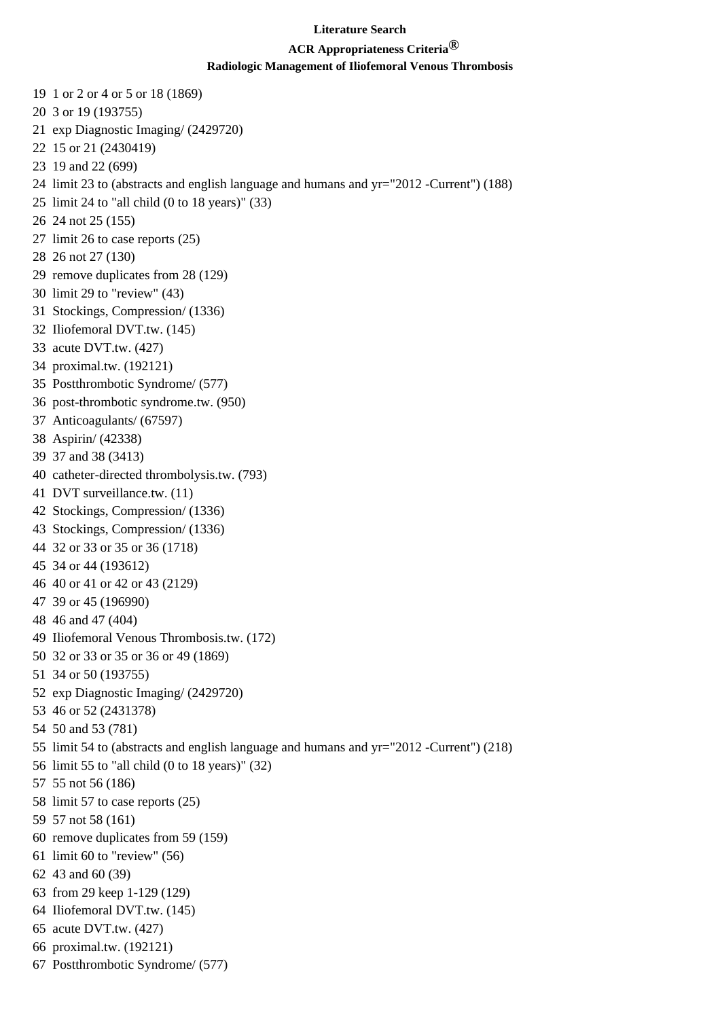# **ACR Appropriateness Criteria®**

- 19 1 or 2 or 4 or 5 or 18 (1869)
- 20 3 or 19 (193755)
- 21 exp Diagnostic Imaging/ (2429720)
- 22 15 or 21 (2430419)
- 23 19 and 22 (699)
- 24 limit 23 to (abstracts and english language and humans and yr="2012 -Current") (188)
- 25 limit 24 to "all child (0 to 18 years)" (33)
- 26 24 not 25 (155)
- 27 limit 26 to case reports (25)
- 28 26 not 27 (130)
- 29 remove duplicates from 28 (129)
- 30 limit 29 to "review" (43)
- 31 Stockings, Compression/ (1336)
- 32 Iliofemoral DVT.tw. (145)
- 33 acute DVT.tw. (427)
- 34 proximal.tw. (192121)
- 35 Postthrombotic Syndrome/ (577)
- 36 post-thrombotic syndrome.tw. (950)
- 37 Anticoagulants/ (67597)
- 38 Aspirin/ (42338)
- 39 37 and 38 (3413)
- 40 catheter-directed thrombolysis.tw. (793)
- 41 DVT surveillance.tw. (11)
- 42 Stockings, Compression/ (1336)
- 43 Stockings, Compression/ (1336)
- 44 32 or 33 or 35 or 36 (1718)
- 45 34 or 44 (193612)
- 46 40 or 41 or 42 or 43 (2129)
- 47 39 or 45 (196990)
- 48 46 and 47 (404)
- 49 Iliofemoral Venous Thrombosis.tw. (172)
- 50 32 or 33 or 35 or 36 or 49 (1869)
- 51 34 or 50 (193755)
- 52 exp Diagnostic Imaging/ (2429720)
- 53 46 or 52 (2431378)
- 54 50 and 53 (781)
- 55 limit 54 to (abstracts and english language and humans and yr="2012 -Current") (218)
- 56 limit 55 to "all child (0 to 18 years)" (32)
- 57 55 not 56 (186)
- 58 limit 57 to case reports (25)
- 59 57 not 58 (161)
- 60 remove duplicates from 59 (159)
- 61 limit 60 to "review" (56)
- 62 43 and 60 (39)
- 63 from 29 keep 1-129 (129)
- 64 Iliofemoral DVT.tw. (145)
- 65 acute DVT.tw. (427)
- 66 proximal.tw. (192121)
- 67 Postthrombotic Syndrome/ (577)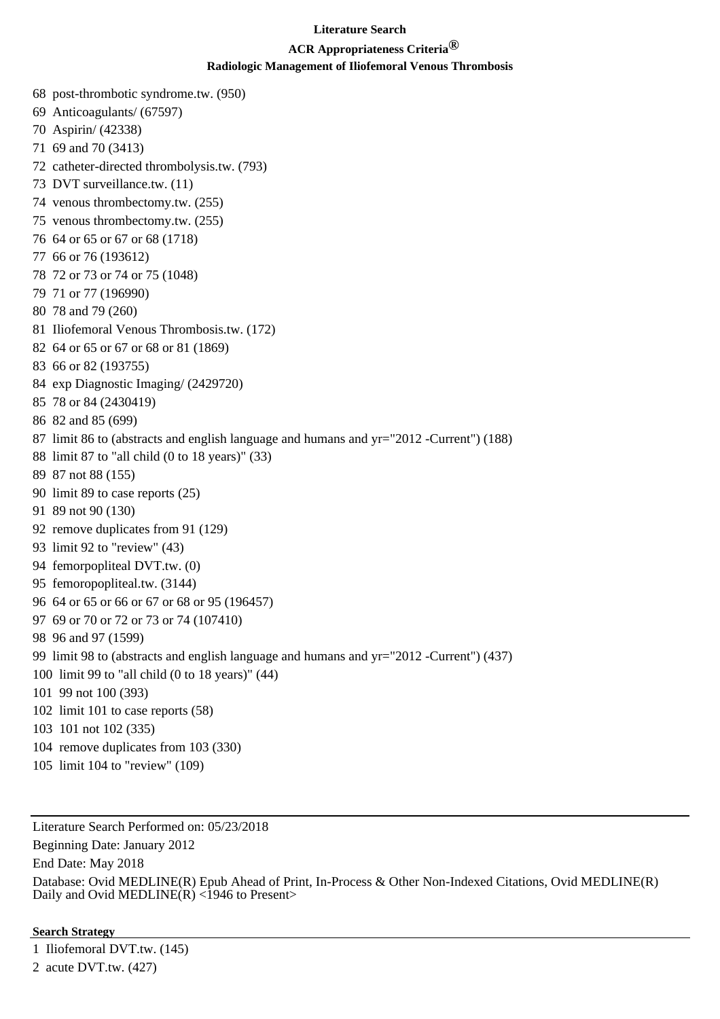# **ACR Appropriateness Criteria®**

### **Radiologic Management of Iliofemoral Venous Thrombosis**

68 post-thrombotic syndrome.tw. (950) 69 Anticoagulants/ (67597) 70 Aspirin/ (42338) 71 69 and 70 (3413) 72 catheter-directed thrombolysis.tw. (793) 73 DVT surveillance.tw. (11) 74 venous thrombectomy.tw. (255) 75 venous thrombectomy.tw. (255) 76 64 or 65 or 67 or 68 (1718) 77 66 or 76 (193612) 78 72 or 73 or 74 or 75 (1048) 79 71 or 77 (196990) 80 78 and 79 (260) 81 Iliofemoral Venous Thrombosis.tw. (172) 82 64 or 65 or 67 or 68 or 81 (1869) 83 66 or 82 (193755) 84 exp Diagnostic Imaging/ (2429720) 85 78 or 84 (2430419) 86 82 and 85 (699) 87 limit 86 to (abstracts and english language and humans and yr="2012 -Current") (188) 88 limit 87 to "all child (0 to 18 years)" (33) 89 87 not 88 (155) 90 limit 89 to case reports (25) 91 89 not 90 (130) 92 remove duplicates from 91 (129) 93 limit 92 to "review" (43) 94 femorpopliteal DVT.tw. (0) 95 femoropopliteal.tw. (3144) 96 64 or 65 or 66 or 67 or 68 or 95 (196457) 97 69 or 70 or 72 or 73 or 74 (107410) 98 96 and 97 (1599) 99 limit 98 to (abstracts and english language and humans and yr="2012 -Current") (437) 100 limit 99 to "all child (0 to 18 years)" (44) 101 99 not 100 (393) 102 limit 101 to case reports (58) 103 101 not 102 (335) 104 remove duplicates from 103 (330) 105 limit 104 to "review" (109)

Literature Search Performed on: 05/23/2018 Beginning Date: January 2012 End Date: May 2018 Database: Ovid MEDLINE(R) Epub Ahead of Print, In-Process & Other Non-Indexed Citations, Ovid MEDLINE(R) Daily and Ovid MEDLINE(R)  $\langle$ 1946 to Present>

### **Search Strategy**

1 Iliofemoral DVT.tw. (145) 2 acute DVT.tw. (427)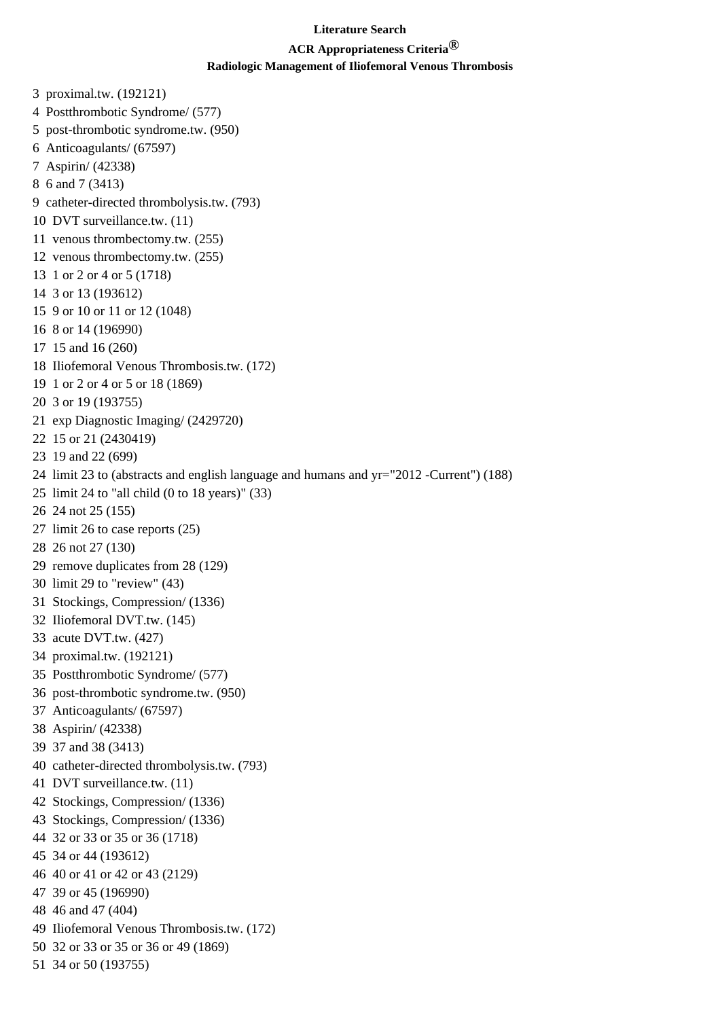## **ACR Appropriateness Criteria®**

### **Radiologic Management of Iliofemoral Venous Thrombosis**

3 proximal.tw. (192121) 4 Postthrombotic Syndrome/ (577) 5 post-thrombotic syndrome.tw. (950) 6 Anticoagulants/ (67597) 7 Aspirin/ (42338) 8 6 and 7 (3413) 9 catheter-directed thrombolysis.tw. (793) 10 DVT surveillance.tw. (11) 11 venous thrombectomy.tw. (255) 12 venous thrombectomy.tw. (255) 13 1 or 2 or 4 or 5 (1718) 14 3 or 13 (193612) 15 9 or 10 or 11 or 12 (1048) 16 8 or 14 (196990) 17 15 and 16 (260) 18 Iliofemoral Venous Thrombosis.tw. (172) 19 1 or 2 or 4 or 5 or 18 (1869) 20 3 or 19 (193755) 21 exp Diagnostic Imaging/ (2429720) 22 15 or 21 (2430419) 23 19 and 22 (699) 24 limit 23 to (abstracts and english language and humans and yr="2012 -Current") (188) 25 limit 24 to "all child (0 to 18 years)" (33) 26 24 not 25 (155) 27 limit 26 to case reports (25) 28 26 not 27 (130) 29 remove duplicates from 28 (129) 30 limit 29 to "review" (43) 31 Stockings, Compression/ (1336) 32 Iliofemoral DVT.tw. (145) 33 acute DVT.tw. (427) 34 proximal.tw. (192121) 35 Postthrombotic Syndrome/ (577) 36 post-thrombotic syndrome.tw. (950) 37 Anticoagulants/ (67597) 38 Aspirin/ (42338) 39 37 and 38 (3413) 40 catheter-directed thrombolysis.tw. (793) 41 DVT surveillance.tw. (11) 42 Stockings, Compression/ (1336) 43 Stockings, Compression/ (1336) 44 32 or 33 or 35 or 36 (1718) 45 34 or 44 (193612) 46 40 or 41 or 42 or 43 (2129) 47 39 or 45 (196990) 48 46 and 47 (404) 49 Iliofemoral Venous Thrombosis.tw. (172) 50 32 or 33 or 35 or 36 or 49 (1869) 51 34 or 50 (193755)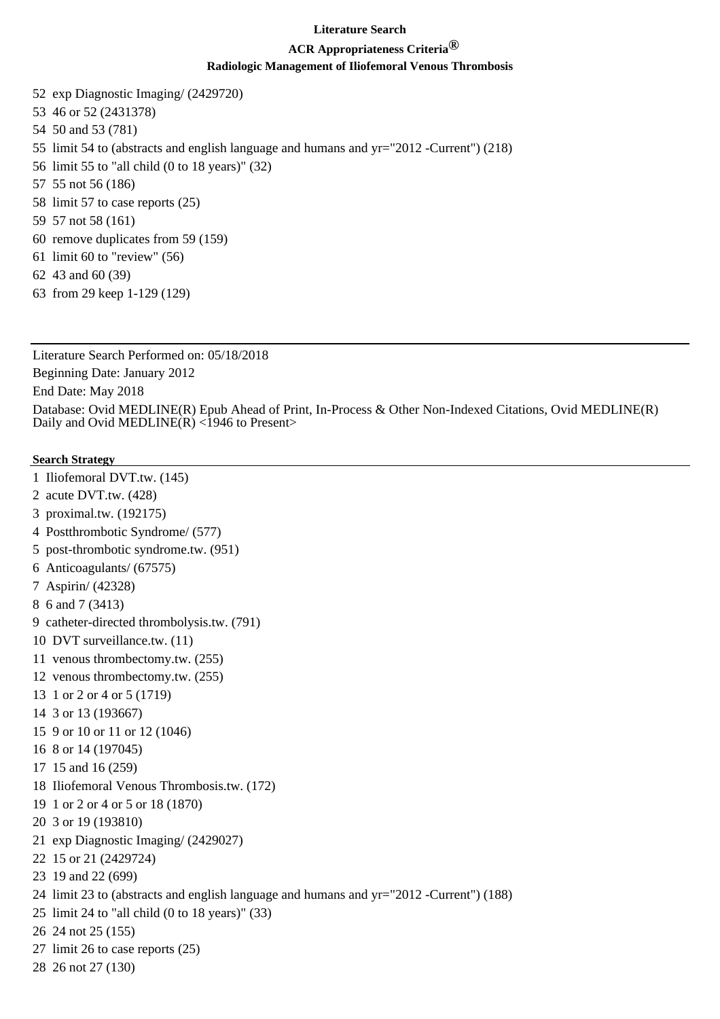# **ACR Appropriateness Criteria®**

## **Radiologic Management of Iliofemoral Venous Thrombosis**

52 exp Diagnostic Imaging/ (2429720) 53 46 or 52 (2431378) 54 50 and 53 (781) 55 limit 54 to (abstracts and english language and humans and yr="2012 -Current") (218) 56 limit 55 to "all child (0 to 18 years)" (32) 57 55 not 56 (186) 58 limit 57 to case reports (25) 59 57 not 58 (161) 60 remove duplicates from 59 (159) 61 limit 60 to "review" (56)

- 62 43 and 60 (39)
- 63 from 29 keep 1-129 (129)

Literature Search Performed on: 05/18/2018 Beginning Date: January 2012 End Date: May 2018 Database: Ovid MEDLINE(R) Epub Ahead of Print, In-Process & Other Non-Indexed Citations, Ovid MEDLINE(R) Daily and Ovid MEDLINE(R) <1946 to Present>

- 1 Iliofemoral DVT.tw. (145)
- 2 acute DVT.tw. (428)
- 3 proximal.tw. (192175)
- 4 Postthrombotic Syndrome/ (577)
- 5 post-thrombotic syndrome.tw. (951)
- 6 Anticoagulants/ (67575)
- 7 Aspirin/ (42328)
- 8 6 and 7 (3413)
- 9 catheter-directed thrombolysis.tw. (791)
- 10 DVT surveillance.tw. (11)
- 11 venous thrombectomy.tw. (255)
- 12 venous thrombectomy.tw. (255)
- 13 1 or 2 or 4 or 5 (1719)
- 14 3 or 13 (193667)
- 15 9 or 10 or 11 or 12 (1046)
- 16 8 or 14 (197045)
- 17 15 and 16 (259)
- 18 Iliofemoral Venous Thrombosis.tw. (172)
- 19 1 or 2 or 4 or 5 or 18 (1870)
- 20 3 or 19 (193810)
- 21 exp Diagnostic Imaging/ (2429027)
- 22 15 or 21 (2429724)
- 23 19 and 22 (699)
- 24 limit 23 to (abstracts and english language and humans and yr="2012 -Current") (188)
- 25 limit 24 to "all child (0 to 18 years)" (33)
- 26 24 not 25 (155)
- 27 limit 26 to case reports (25)
- 28 26 not 27 (130)